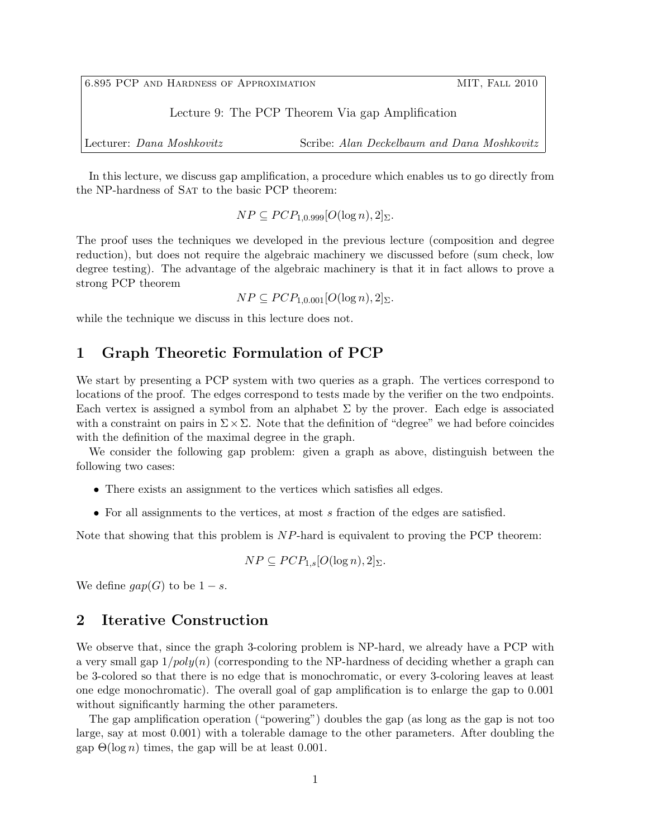6.895 PCP AND HARDNESS OF APPROXIMATION MIT, FALL 2010 Lecture 9: The PCP Theorem Via gap Amplification Lecturer: *Dana Moshkovitz* Scribe: *Alan Deckelbaum and Dana Moshkovitz*

In this lecture, we discuss gap amplification, a procedure which enables us to go directly from the NP-hardness of SAT to the basic PCP theorem:

 $NP \subseteq PCP_{1.0.999}[O(\log n), 2]_{\Sigma}$ .

The proof uses the techniques we developed in the previous lecture (composition and degree reduction), but does not require the algebraic machinery we discussed before (sum check, low degree testing). The advantage of the algebraic machinery is that it in fact allows to prove a strong PCP theorem

 $NP \subset PCP_{1.0.001}[O(\log n), 2]_{\Sigma}$ .

while the technique we discuss in this lecture does not.

### **1 Graph Theoretic Formulation of PCP**

We start by presenting a PCP system with two queries as a graph. The vertices correspond to locations of the proof. The edges correspond to tests made by the verifier on the two endpoints. Each vertex is assigned a symbol from an alphabet  $\Sigma$  by the prover. Each edge is associated with a constraint on pairs in Σ*×*Σ. Note that the definition of "degree" we had before coincides with the definition of the maximal degree in the graph.

We consider the following gap problem: given a graph as above, distinguish between the following two cases:

- There exists an assignment to the vertices which satisfies all edges.
- *•* For all assignments to the vertices, at most *s* fraction of the edges are satisfied.

Note that showing that this problem is *NP*-hard is equivalent to proving the PCP theorem:

$$
NP \subseteq PCP_{1,s}[O(\log n), 2]_{\Sigma}.
$$

We define  $qap(G)$  to be  $1-s$ .

### **2 Iterative Construction**

We observe that, since the graph 3-coloring problem is NP-hard, we already have a PCP with a very small gap 1*/poly*(*n*) (corresponding to the NP-hardness of deciding whether a graph can be 3-colored so that there is no edge that is monochromatic, or every 3-coloring leaves at least one edge monochromatic). The overall goal of gap amplification is to enlarge the gap to 0*.*001 without significantly harming the other parameters.

The gap amplification operation ("powering") doubles the gap (as long as the gap is not too large, say at most 0*.*001) with a tolerable damage to the other parameters. After doubling the gap  $\Theta(\log n)$  times, the gap will be at least 0.001.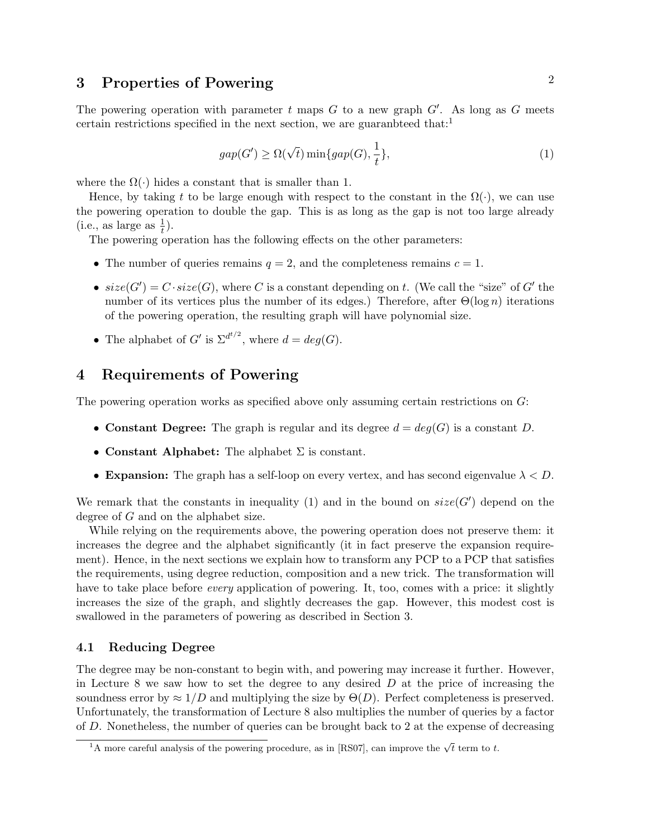# **3** Properties of Powering 2

The powering operation with parameter *t* maps *G* to a new graph *G′* . As long as *G* meets certain restrictions specified in the next section, we are guaranteed that:<sup>1</sup>

$$
gap(G') \ge \Omega(\sqrt{t}) \min\{gap(G), \frac{1}{t}\},\tag{1}
$$

where the  $\Omega(\cdot)$  hides a constant that is smaller than 1.

Hence, by taking t to be large enough with respect to the constant in the  $\Omega(\cdot)$ , we can use the powering operation to double the gap. This is as long as the gap is not too large already  $(i.e., as large as  $\frac{1}{t}$ ).$ 

The powering operation has the following effects on the other parameters:

- The number of queries remains  $q = 2$ , and the completeness remains  $c = 1$ .
- $size(G') = C \cdot size(G)$ , where *C* is a constant depending on *t*. (We call the "size" of *G'* the number of its vertices plus the number of its edges.) Therefore, after Θ(log *n*) iterations of the powering operation, the resulting graph will have polynomial size.
- The alphabet of *G'* is  $\Sigma^{d^{t/2}}$ , where  $d = deg(G)$ .

## **4 Requirements of Powering**

The powering operation works as specified above only assuming certain restrictions on *G*:

- **Constant Degree:** The graph is regular and its degree  $d = deg(G)$  is a constant *D*.
- *•* **Constant Alphabet:** The alphabet Σ is constant.
- **Expansion:** The graph has a self-loop on every vertex, and has second eigenvalue  $\lambda < D$ .

We remark that the constants in inequality (1) and in the bound on  $size(G')$  depend on the degree of *G* and on the alphabet size.

While relying on the requirements above, the powering operation does not preserve them: it increases the degree and the alphabet significantly (it in fact preserve the expansion requirement). Hence, in the next sections we explain how to transform any PCP to a PCP that satisfies the requirements, using degree reduction, composition and a new trick. The transformation will have to take place before *every* application of powering. It, too, comes with a price: it slightly increases the size of the graph, and slightly decreases the gap. However, this modest cost is swallowed in the parameters of powering as described in Section 3.

### **4.1 Reducing Degree**

The degree may be non-constant to begin with, and powering may increase it further. However, in Lecture 8 we saw how to set the degree to any desired *D* at the price of increasing the soundness error by  $\approx 1/D$  and multiplying the size by  $\Theta(D)$ . Perfect completeness is preserved. Unfortunately, the transformation of Lecture 8 also multiplies the number of queries by a factor of *D*. Nonetheless, the number of queries can be brought back to 2 at the expense of decreasing

 $\frac{1}{1}$ A more careful analysis of the powering procedure, as in [RS07], can improve the  $\sqrt{t}$  term to *t*.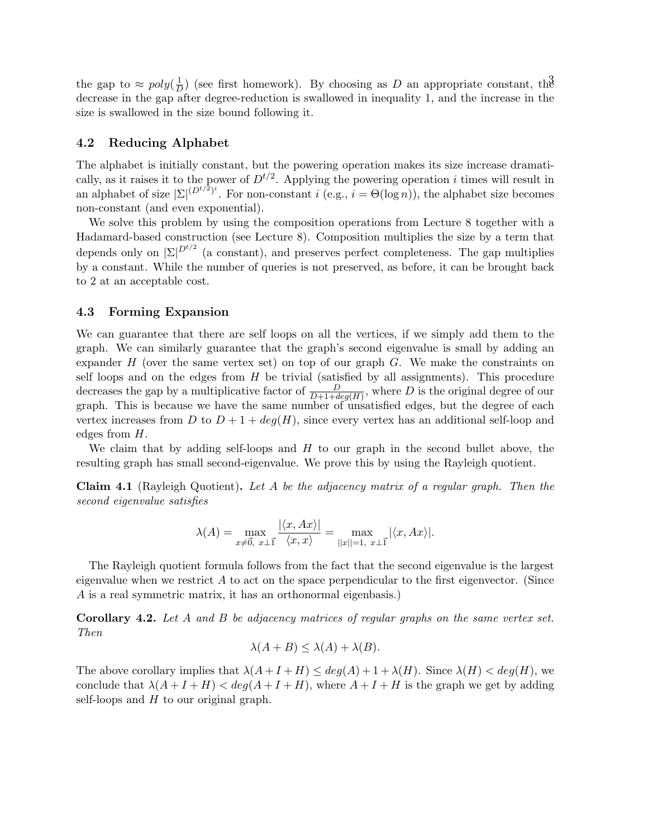the gap to  $\approx poly(\frac{1}{D})$  (see first homework). By choosing as D an appropriate constant, the  $\frac{1}{D}$ ) (see first homework). By choosing as *D* an appropriate constant, the decrease in the gap after degree-reduction is swallowed in inequality 1, and the increase in the size is swallowed in the size bound following it.

#### **4.2 Reducing Alphabet**

The alphabet is initially constant, but the powering operation makes its size increase dramatically, as it raises it to the power of  $D^{t/2}$ . Applying the powering operation *i* times will result in an alphabet of size  $|\Sigma|^{(D^{t/2})^i}$ . For non-constant *i* (e.g., *i* =  $\Theta(\log n)$ ), the alphabet size becomes non-constant (and even exponential).

We solve this problem by using the composition operations from Lecture 8 together with a Hadamard-based construction (see Lecture 8). Composition multiplies the size by a term that depends only on *|*Σ*| Dt/*<sup>2</sup> (a constant), and preserves perfect completeness. The gap multiplies by a constant. While the number of queries is not preserved, as before, it can be brought back to 2 at an acceptable cost.

#### **4.3 Forming Expansion**

We can guarantee that there are self loops on all the vertices, if we simply add them to the graph. We can similarly guarantee that the graph's second eigenvalue is small by adding an expander *H* (over the same vertex set) on top of our graph *G*. We make the constraints on self loops and on the edges from *H* be trivial (satisfied by all assignments). This procedure decreases the gap by a multiplicative factor of  $\frac{D}{D+1+deg(H)}$ , where *D* is the original degree of our graph. This is because we have the same number of unsatisfied edges, but the degree of each vertex increases from *D* to  $D + 1 + deg(H)$ , since every vertex has an additional self-loop and edges from *H*.

We claim that by adding self-loops and *H* to our graph in the second bullet above, the resulting graph has small second-eigenvalue. We prove this by using the Rayleigh quotient.

**Claim 4.1** (Rayleigh Quotient)**.** *Let A be the adjacency matrix of a regular graph. Then the second eigenvalue satisfies*

$$
\lambda(A) = \max_{x \neq \vec{0}, x \perp \vec{1}} \frac{|\langle x, Ax \rangle|}{\langle x, x \rangle} = \max_{||x||=1, x \perp \vec{1}} |\langle x, Ax \rangle|.
$$

The Rayleigh quotient formula follows from the fact that the second eigenvalue is the largest eigenvalue when we restrict *A* to act on the space perpendicular to the first eigenvector. (Since *A* is a real symmetric matrix, it has an orthonormal eigenbasis.)

**Corollary 4.2.** *Let A and B be adjacency matrices of regular graphs on the same vertex set. Then*

$$
\lambda(A+B) \le \lambda(A) + \lambda(B).
$$

The above corollary implies that  $\lambda(A+I+H) \leq deg(A)+1+\lambda(H)$ . Since  $\lambda(H) < deg(H)$ , we conclude that  $\lambda(A+I+H) < deg(A+I+H)$ , where  $A+I+H$  is the graph we get by adding self-loops and *H* to our original graph.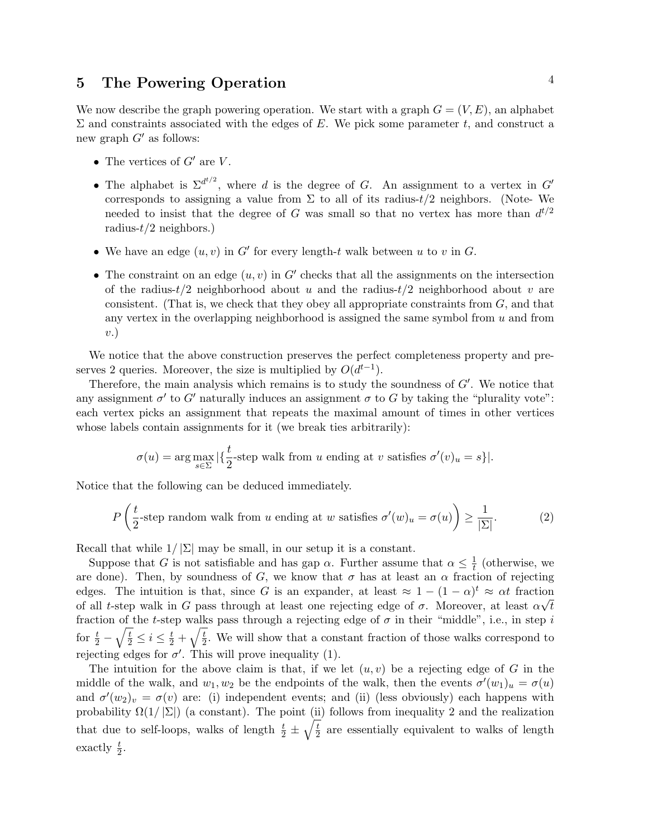# **5 The Powering Operation** <sup>4</sup>

We now describe the graph powering operation. We start with a graph  $G = (V, E)$ , an alphabet Σ and constraints associated with the edges of *E*. We pick some parameter *t*, and construct a new graph *G′* as follows:

- *•* The vertices of *G′* are *V* .
- The alphabet is  $\Sigma^{d^{t/2}}$ , where *d* is the degree of *G*. An assignment to a vertex in *G'* corresponds to assigning a value from  $\Sigma$  to all of its radius- $t/2$  neighbors. (Note- We needed to insist that the degree of *G* was small so that no vertex has more than  $d^{t/2}$ radius-*t/*2 neighbors.)
- *•* We have an edge (*u, v*) in *G′* for every length-*t* walk between *u* to *v* in *G*.
- The constraint on an edge  $(u, v)$  in  $G'$  checks that all the assignments on the intersection of the radius-*t/*2 neighborhood about *u* and the radius-*t/*2 neighborhood about *v* are consistent. (That is, we check that they obey all appropriate constraints from *G*, and that any vertex in the overlapping neighborhood is assigned the same symbol from *u* and from *v*.)

We notice that the above construction preserves the perfect completeness property and preserves 2 queries. Moreover, the size is multiplied by  $O(d^{t-1})$ .

Therefore, the main analysis which remains is to study the soundness of *G′* . We notice that any assignment  $\sigma'$  to  $G'$  naturally induces an assignment  $\sigma$  to  $G$  by taking the "plurality vote": each vertex picks an assignment that repeats the maximal amount of times in other vertices whose labels contain assignments for it (we break ties arbitrarily):

$$
\sigma(u) = \arg \max_{s \in \Sigma} |\{\frac{t}{2}\text{-step walk from } u \text{ ending at } v \text{ satisfies } \sigma'(v)_u = s\}|.
$$

Notice that the following can be deduced immediately.

$$
P\left(\frac{t}{2}\text{-step random walk from }u\text{ ending at }w\text{ satisfies }\sigma'(w)_u = \sigma(u)\right) \ge \frac{1}{|\Sigma|}.\tag{2}
$$

Recall that while  $1/|\Sigma|$  may be small, in our setup it is a constant.

Suppose that *G* is not satisfiable and has gap *α*. Further assume that  $\alpha \leq \frac{1}{t}$  $\frac{1}{t}$  (otherwise, we are done). Then, by soundness of *G*, we know that  $\sigma$  has at least an  $\alpha$  fraction of rejecting edges. The intuition is that, since *G* is an expander, at least  $\approx 1 - (1 - \alpha)^t \approx \alpha t$  fraction of all *t*-step walk in *G* pass through at least one rejecting edge of  $\sigma$ . Moreover, at least  $\alpha \sqrt{t}$ fraction of the *t*-step walks pass through a rejecting edge of  $\sigma$  in their "middle", i.e., in step *i* for  $\frac{t}{2} - \sqrt{\frac{t}{2}} \leq i \leq \frac{t}{2} + \sqrt{\frac{t}{2}}$  $\frac{t}{2}$ . We will show that a constant fraction of those walks correspond to rejecting edges for  $\sigma'$ . This will prove inequality (1).

The intuition for the above claim is that, if we let  $(u, v)$  be a rejecting edge of  $G$  in the middle of the walk, and  $w_1, w_2$  be the endpoints of the walk, then the events  $\sigma'(w_1)_u = \sigma(u)$ and  $\sigma'(w_2)_v = \sigma(v)$  are: (i) independent events; and (ii) (less obviously) each happens with probability  $\Omega(1/|\Sigma|)$  (a constant). The point (ii) follows from inequality 2 and the realization that due to self-loops, walks of length  $\frac{t}{2} \pm \sqrt{\frac{t}{2}}$  $\frac{t}{2}$  are essentially equivalent to walks of length exactly  $\frac{t}{2}$ .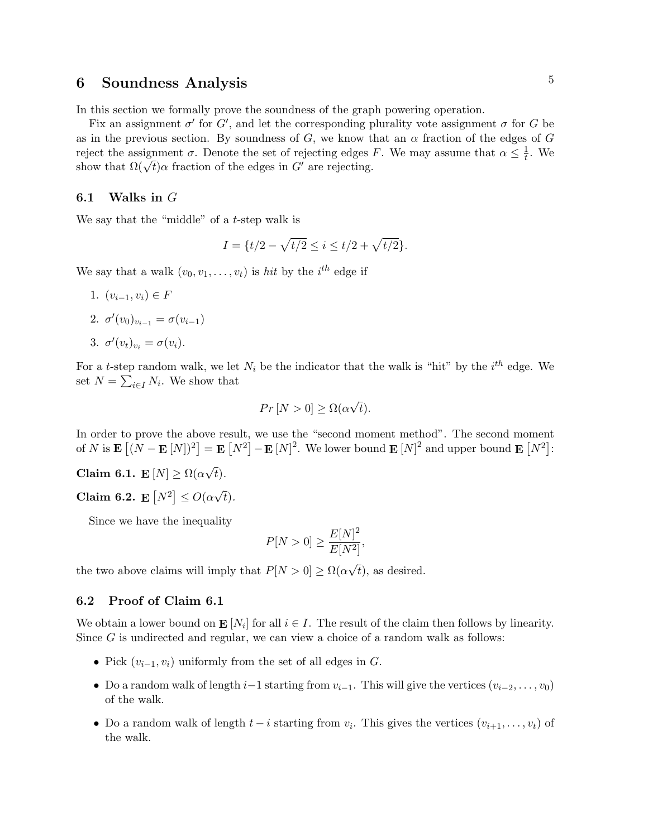## **6 Soundness Analysis** 5

In this section we formally prove the soundness of the graph powering operation.

Fix an assignment  $\sigma'$  for  $G'$ , and let the corresponding plurality vote assignment  $\sigma$  for  $G$  be as in the previous section. By soundness of *G*, we know that an *α* fraction of the edges of *G* reject the assignment  $\sigma$ . Denote the set of rejecting edges *F*. We may assume that  $\alpha \leq \frac{1}{t}$  $\frac{1}{t}$ . We show that  $\Omega(\sqrt{t})\alpha$  fraction of the edges in *G<sup>'</sup>* are rejecting.

### **6.1 Walks in** *G*

We say that the "middle" of a *t*-step walk is

$$
I = \{t/2 - \sqrt{t/2} \le i \le t/2 + \sqrt{t/2}\}.
$$

We say that a walk  $(v_0, v_1, \ldots, v_t)$  is *hit* by the *i*<sup>th</sup> edge if

1.  $(v_{i-1}, v_i) \in F$ 2.  $\sigma'(v_0)_{v_{i-1}} = \sigma(v_{i-1})$ 3.  $\sigma'(v_t)_{v_i} = \sigma(v_i)$ .

For a *t*-step random walk, we let  $N_i$  be the indicator that the walk is "hit" by the  $i^{th}$  edge. We set  $N = \sum_{i \in I} N_i$ . We show that

$$
Pr\left[N>0\right] \ge \Omega(\alpha\sqrt{t}).
$$

In order to prove the above result, we use the "second moment method". The second moment of *N* is  $\mathbf{E}[(N - \mathbf{E}[N])^2] = \mathbf{E}[N^2] - \mathbf{E}[N]^2$ . We lower bound  $\mathbf{E}[N]^2$  and upper bound  $\mathbf{E}[N^2]$ :

 $\textbf{Claim 6.1. } \mathbf{E}[N] \geq \Omega(\alpha)$ *√ t*)*.*

**Claim 6.2.**  $\mathbf{E}[N^2] \leq O(\alpha)$ *√ t*)*.*

Since we have the inequality

$$
P[N > 0] \ge \frac{E[N]^2}{E[N^2]},
$$

the two above claims will imply that  $P[N > 0] \ge \Omega(\alpha)$ *√ t*), as desired.

#### **6.2 Proof of Claim 6.1**

We obtain a lower bound on  $\mathbf{E}[N_i]$  for all  $i \in I$ . The result of the claim then follows by linearity. Since *G* is undirected and regular, we can view a choice of a random walk as follows:

- *•* Pick (*vi−*1*, vi*) uniformly from the set of all edges in *G*.
- Do a random walk of length *i*<sup>*−*</sup>1 starting from  $v_{i-1}$ . This will give the vertices  $(v_{i-2}, \ldots, v_0)$ of the walk.
- Do a random walk of length  $t i$  starting from  $v_i$ . This gives the vertices  $(v_{i+1}, \ldots, v_t)$  of the walk.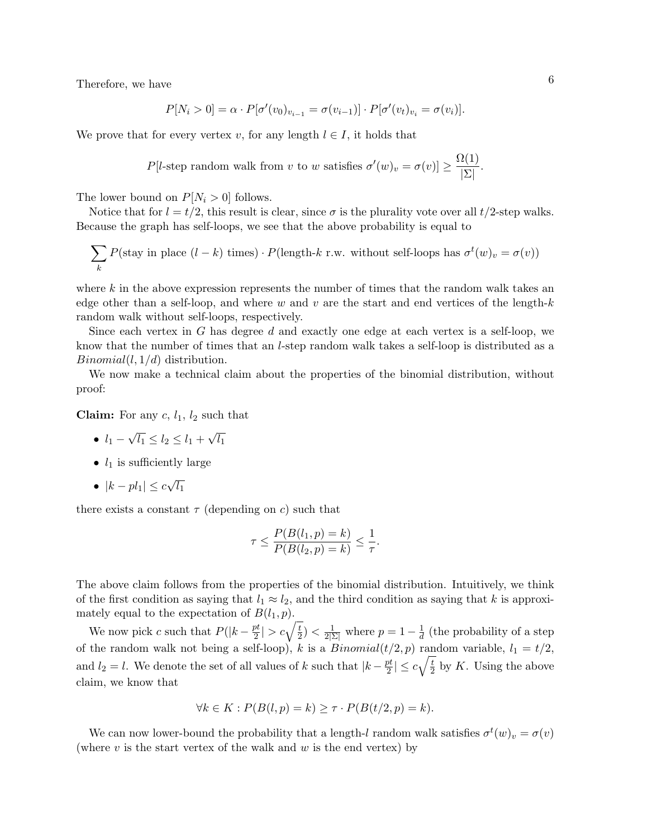Therefore, we have  $\qquad \qquad 6$ 

$$
P[N_i > 0] = \alpha \cdot P[\sigma'(v_0)_{v_{i-1}} = \sigma(v_{i-1})] \cdot P[\sigma'(v_t)_{v_i} = \sigma(v_i)].
$$

We prove that for every vertex *v*, for any length  $l \in I$ , it holds that

$$
P[l\text{-step random walk from } v \text{ to } w \text{ satisfies } \sigma'(w)_v = \sigma(v) \ge \frac{\Omega(1)}{|\Sigma|}.
$$

The lower bound on  $P[N_i > 0]$  follows.

Notice that for  $l = t/2$ , this result is clear, since  $\sigma$  is the plurality vote over all  $t/2$ -step walks. Because the graph has self-loops, we see that the above probability is equal to

$$
\sum_{k} P(\text{stay in place } (l - k) \text{ times}) \cdot P(\text{length-}k \text{ r.w. without self-loops has } \sigma^t(w)_v = \sigma(v))
$$

where k in the above expression represents the number of times that the random walk takes an edge other than a self-loop, and where *w* and *v* are the start and end vertices of the length-*k* random walk without self-loops, respectively.

Since each vertex in *G* has degree *d* and exactly one edge at each vertex is a self-loop, we know that the number of times that an *l*-step random walk takes a self-loop is distributed as a *Binomial*(*l,* 1*/d*) distribution.

We now make a technical claim about the properties of the binomial distribution, without proof:

**Claim:** For any  $c, l_1, l_2$  such that

- *• l*<sup>1</sup> *− √*  $\overline{l_1} \leq l_2 \leq l_1 +$ *√ l*1
- $l_1$  is sufficiently large
- *• |k − pl*1*| ≤ c √ l*1

there exists a constant  $\tau$  (depending on *c*) such that

$$
\tau \le \frac{P(B(l_1, p) = k)}{P(B(l_2, p) = k)} \le \frac{1}{\tau}.
$$

The above claim follows from the properties of the binomial distribution. Intuitively, we think of the first condition as saying that  $l_1 \approx l_2$ , and the third condition as saying that k is approximately equal to the expectation of  $B(l_1, p)$ .

We now pick *c* such that  $P(|k - \frac{pt}{2})$  $\left| \frac{pt}{2} \right| > c \sqrt{\frac{t}{2}}$  $\frac{t}{2}$ ) <  $\frac{1}{2|\Sigma|}$  where  $p = 1 - \frac{1}{d}$  $\frac{1}{d}$  (the probability of a step of the random walk not being a self-loop), *k* is a *Binomial*( $t/2, p$ ) random variable,  $l_1 = t/2$ , and  $l_2 = l$ . We denote the set of all values of *k* such that  $|k - \frac{pt}{2}|$  $\left|\frac{pt}{2}\right| \leq c\sqrt{\frac{t}{2}}$  $\frac{t}{2}$  by *K*. Using the above claim, we know that

$$
\forall k \in K : P(B(l, p) = k) \ge \tau \cdot P(B(t/2, p) = k).
$$

We can now lower-bound the probability that a length-*l* random walk satisfies  $\sigma^t(w)_v = \sigma(v)$ (where *v* is the start vertex of the walk and *w* is the end vertex) by